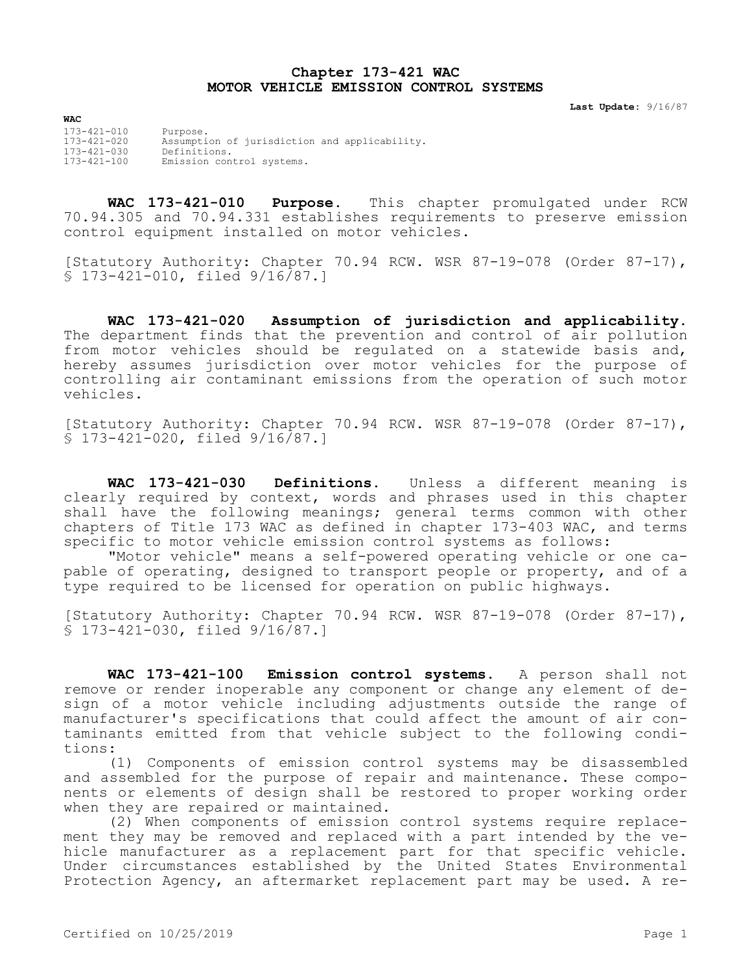## **Chapter 173-421 WAC MOTOR VEHICLE EMISSION CONTROL SYSTEMS**

**Last Update:** 9/16/87

**WAC** 173-421-010 Purpose. 173-421-020 Assumption of jurisdiction and applicability. 173-421-030 Definitions. 173-421-100 Emission control systems.

**WAC 173-421-010 Purpose.** This chapter promulgated under RCW 70.94.305 and 70.94.331 establishes requirements to preserve emission control equipment installed on motor vehicles.

[Statutory Authority: Chapter 70.94 RCW. WSR 87-19-078 (Order 87-17), § 173-421-010, filed 9/16/87.]

**WAC 173-421-020 Assumption of jurisdiction and applicability.**  The department finds that the prevention and control of air pollution from motor vehicles should be regulated on a statewide basis and, hereby assumes jurisdiction over motor vehicles for the purpose of controlling air contaminant emissions from the operation of such motor vehicles.

[Statutory Authority: Chapter 70.94 RCW. WSR 87-19-078 (Order 87-17), § 173-421-020, filed 9/16/87.]

**WAC 173-421-030 Definitions.** Unless a different meaning is clearly required by context, words and phrases used in this chapter shall have the following meanings; general terms common with other chapters of Title 173 WAC as defined in chapter 173-403 WAC, and terms specific to motor vehicle emission control systems as follows:

"Motor vehicle" means a self-powered operating vehicle or one capable of operating, designed to transport people or property, and of a type required to be licensed for operation on public highways.

[Statutory Authority: Chapter 70.94 RCW. WSR 87-19-078 (Order 87-17), § 173-421-030, filed 9/16/87.]

**WAC 173-421-100 Emission control systems.** A person shall not remove or render inoperable any component or change any element of design of a motor vehicle including adjustments outside the range of manufacturer's specifications that could affect the amount of air contaminants emitted from that vehicle subject to the following conditions:

(1) Components of emission control systems may be disassembled and assembled for the purpose of repair and maintenance. These components or elements of design shall be restored to proper working order when they are repaired or maintained.

(2) When components of emission control systems require replacement they may be removed and replaced with a part intended by the vehicle manufacturer as a replacement part for that specific vehicle. Under circumstances established by the United States Environmental Protection Agency, an aftermarket replacement part may be used. A re